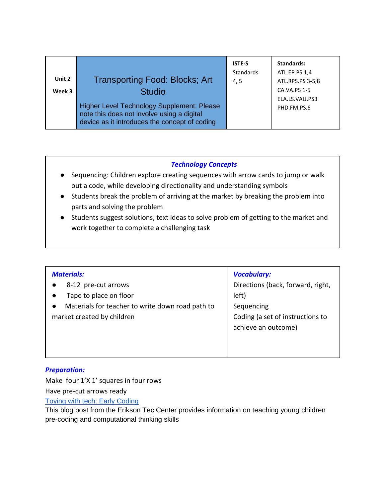|        |                                                                                                                                           | <b>ISTE-S</b>    | Standards:       |
|--------|-------------------------------------------------------------------------------------------------------------------------------------------|------------------|------------------|
|        |                                                                                                                                           | <b>Standards</b> | ATL.EP.PS.1,4    |
| Unit 2 | <b>Transporting Food: Blocks; Art</b>                                                                                                     | 4,5              | ATL.RPS.PS 3-5,8 |
| Week 3 | <b>Studio</b>                                                                                                                             |                  | CA.VA.PS 1-5     |
|        |                                                                                                                                           |                  | ELA.LS.VAU.PS3   |
|        | Higher Level Technology Supplement: Please<br>note this does not involve using a digital<br>device as it introduces the concept of coding |                  | PHD.FM.PS.6      |

## *Technology Concepts*

- Sequencing: Children explore creating sequences with arrow cards to jump or walk out a code, while developing directionality and understanding symbols
- Students break the problem of arriving at the market by breaking the problem into parts and solving the problem
- Students suggest solutions, text ideas to solve problem of getting to the market and work together to complete a challenging task

| <b>Materials:</b><br>8-12 pre-cut arrows<br>Tape to place on floor<br>Materials for teacher to write down road path to<br>market created by children | <b>Vocabulary:</b><br>Directions (back, forward, right,<br>left)<br>Sequencing<br>Coding (a set of instructions to<br>achieve an outcome) |
|------------------------------------------------------------------------------------------------------------------------------------------------------|-------------------------------------------------------------------------------------------------------------------------------------------|
|                                                                                                                                                      |                                                                                                                                           |

## *Preparation:*

Make four 1'X 1' squares in four rows

Have pre-cut arrows ready

[Toying with tech: Early Coding](http://teccenter.erikson.edu/in-practice/toying-with-tech/)

This blog post from the Erikson Tec Center provides information on teaching young children pre-coding and computational thinking skills